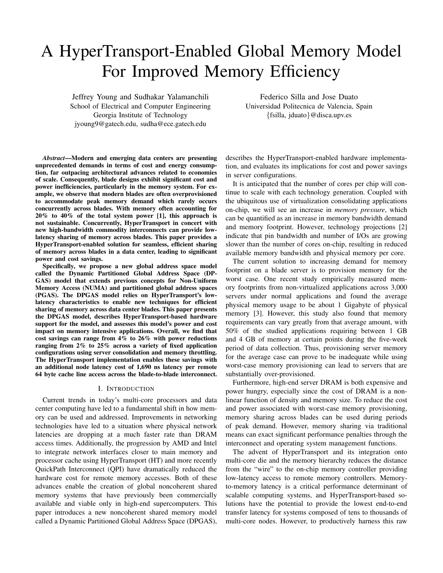# A HyperTransport-Enabled Global Memory Model For Improved Memory Efficiency

Jeffrey Young and Sudhakar Yalamanchili School of Electrical and Computer Engineering Georgia Institute of Technology jyoung9@gatech.edu, sudha@ece.gatech.edu

Federico Silla and Jose Duato Universidad Politecnica de Valencia, Spain {fsilla, jduato}@disca.upv.es

*Abstract*—Modern and emerging data centers are presenting unprecedented demands in terms of cost and energy consumption, far outpacing architectural advances related to economies of scale. Consequently, blade designs exhibit significant cost and power inefficiencies, particularly in the memory system. For example, we observe that modern blades are often overprovisioned to accommodate peak memory demand which rarely occurs concurrently across blades. With memory often accounting for 20% to 40% of the total system power [1], this approach is not sustainable. Concurrently, HyperTransport in concert with new high-bandwidth commodity interconnects can provide lowlatency sharing of memory across blades. This paper provides a HyperTransport-enabled solution for seamless, efficient sharing of memory across blades in a data center, leading to significant power and cost savings.

Specifically, we propose a new global address space model called the Dynamic Partitioned Global Address Space (DP-GAS) model that extends previous concepts for Non-Uniform Memory Access (NUMA) and partitioned global address spaces (PGAS). The DPGAS model relies on HyperTransport's lowlatency characteristics to enable new techniques for efficient sharing of memory across data center blades. This paper presents the DPGAS model, describes HyperTransport-based hardware support for the model, and assesses this model's power and cost impact on memory intensive applications. Overall, we find that cost savings can range from  $4\%$  to  $26\%$  with power reductions ranging from 2% to 25% across a variety of fixed application configurations using server consolidation and memory throttling. The HyperTransport implementation enables these savings with an additional node latency cost of 1,690 ns latency per remote 64 byte cache line access across the blade-to-blade interconnect.

## I. INTRODUCTION

Current trends in today's multi-core processors and data center computing have led to a fundamental shift in how memory can be used and addressed. Improvements in networking technologies have led to a situation where physical network latencies are dropping at a much faster rate than DRAM access times. Additionally, the progression by AMD and Intel to integrate network interfaces closer to main memory and processor cache using HyperTransport (HT) and more recently QuickPath Interconnect (QPI) have dramatically reduced the hardware cost for remote memory accesses. Both of these advances enable the creation of global noncoherent shared memory systems that have previously been commercially available and viable only in high-end supercomputers. This paper introduces a new noncoherent shared memory model called a Dynamic Partitioned Global Address Space (DPGAS),

describes the HyperTransport-enabled hardware implementation, and evaluates its implications for cost and power savings in server configurations.

It is anticipated that the number of cores per chip will continue to scale with each technology generation. Coupled with the ubiquitous use of virtualization consolidating applications on-chip, we will see an increase in *memory pressure*, which can be quantified as an increase in memory bandwidth demand and memory footprint. However, technology projections [2] indicate that pin bandwidth and number of I/Os are growing slower than the number of cores on-chip, resulting in reduced available memory bandwidth and physical memory per core.

The current solution to increasing demand for memory footprint on a blade server is to provision memory for the worst case. One recent study empirically measured memory footprints from non-virtualized applications across 3,000 servers under normal applications and found the average physical memory usage to be about 1 Gigabyte of physical memory [3]. However, this study also found that memory requirements can vary greatly from that average amount, with 50% of the studied applications requiring between 1 GB and 4 GB of memory at certain points during the five-week period of data collection. Thus, provisioning server memory for the average case can prove to be inadequate while using worst-case memory provisioning can lead to servers that are substantially over-provisioned.

Furthermore, high-end server DRAM is both expensive and power hungry, especially since the cost of DRAM is a nonlinear function of density and memory size. To reduce the cost and power associated with worst-case memory provisioning, memory sharing across blades can be used during periods of peak demand. However, memory sharing via traditional means can exact significant performance penalties through the interconnect and operating system management functions.

The advent of HyperTransport and its integration onto multi-core die and the memory hierarchy reduces the distance from the "wire" to the on-chip memory controller providing low-latency access to remote memory controllers. Memoryto-memory latency is a critical performance determinant of scalable computing systems, and HyperTransport-based solutions have the potential to provide the lowest end-to-end transfer latency for systems composed of tens to thousands of multi-core nodes. However, to productively harness this raw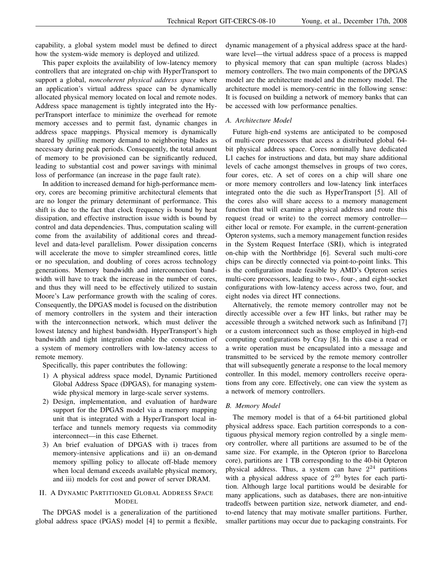capability, a global system model must be defined to direct how the system-wide memory is deployed and utilized.

This paper exploits the availability of low-latency memory controllers that are integrated on-chip with HyperTransport to support a global, *noncoherent physical address space* where an application's virtual address space can be dynamically allocated physical memory located on local and remote nodes. Address space management is tightly integrated into the HyperTransport interface to minimize the overhead for remote memory accesses and to permit fast, dynamic changes in address space mappings. Physical memory is dynamically shared by *spilling* memory demand to neighboring blades as necessary during peak periods. Consequently, the total amount of memory to be provisioned can be significantly reduced, leading to substantial cost and power savings with minimal loss of performance (an increase in the page fault rate).

In addition to increased demand for high-performance memory, cores are becoming primitive architectural elements that are no longer the primary determinant of performance. This shift is due to the fact that clock frequency is bound by heat dissipation, and effective instruction issue width is bound by control and data dependencies. Thus, computation scaling will come from the availability of additional cores and threadlevel and data-level parallelism. Power dissipation concerns will accelerate the move to simpler streamlined cores, little or no speculation, and doubling of cores across technology generations. Memory bandwidth and interconnection bandwidth will have to track the increase in the number of cores, and thus they will need to be effectively utilized to sustain Moore's Law performance growth with the scaling of cores. Consequently, the DPGAS model is focused on the distribution of memory controllers in the system and their interaction with the interconnection network, which must deliver the lowest latency and highest bandwidth. HyperTransport's high bandwidth and tight integration enable the construction of a system of memory controllers with low-latency access to remote memory.

Specifically, this paper contributes the following:

- 1) A physical address space model, Dynamic Partitioned Global Address Space (DPGAS), for managing systemwide physical memory in large-scale server systems.
- 2) Design, implementation, and evaluation of hardware support for the DPGAS model via a memory mapping unit that is integrated with a HyperTransport local interface and tunnels memory requests via commodity interconnect—in this case Ethernet.
- 3) An brief evaluation of DPGAS with i) traces from memory-intensive applications and ii) an on-demand memory spilling policy to allocate off-blade memory when local demand exceeds available physical memory, and iii) models for cost and power of server DRAM.

# II. A DYNAMIC PARTITIONED GLOBAL ADDRESS SPACE **MODEL**

The DPGAS model is a generalization of the partitioned global address space (PGAS) model [4] to permit a flexible, dynamic management of a physical address space at the hardware level—the virtual address space of a process is mapped to physical memory that can span multiple (across blades) memory controllers. The two main components of the DPGAS model are the architecture model and the memory model. The architecture model is memory-centric in the following sense: It is focused on building a network of memory banks that can be accessed with low performance penalties.

# *A. Architecture Model*

Future high-end systems are anticipated to be composed of multi-core processors that access a distributed global 64 bit physical address space. Cores nominally have dedicated L1 caches for instructions and data, but may share additional levels of cache amongst themselves in groups of two cores, four cores, etc. A set of cores on a chip will share one or more memory controllers and low-latency link interfaces integrated onto the die such as HyperTransport [5]. All of the cores also will share access to a memory management function that will examine a physical address and route this request (read or write) to the correct memory controller either local or remote. For example, in the current-generation Opteron systems, such a memory management function resides in the System Request Interface (SRI), which is integrated on-chip with the Northbridge [6]. Several such multi-core chips can be directly connected via point-to-point links. This is the configuration made feasible by AMD's Opteron series multi-core processors, leading to two-, four-, and eight-socket configurations with low-latency access across two, four, and eight nodes via direct HT connections.

Alternatively, the remote memory controller may not be directly accessible over a few HT links, but rather may be accessible through a switched network such as Infiniband [7] or a custom interconnect such as those employed in high-end computing configurations by Cray [8]. In this case a read or a write operation must be encapsulated into a message and transmitted to be serviced by the remote memory controller that will subsequently generate a response to the local memory controller. In this model, memory controllers receive operations from any core. Effectively, one can view the system as a network of memory controllers.

## *B. Memory Model*

The memory model is that of a 64-bit partitioned global physical address space. Each partition corresponds to a contiguous physical memory region controlled by a single memory controller, where all partitions are assumed to be of the same size. For example, in the Opteron (prior to Barcelona core), partitions are 1 TB corresponding to the 40-bit Opteron physical address. Thus, a system can have  $2^{24}$  partitions with a physical address space of  $2^{40}$  bytes for each partition. Although large local partitions would be desirable for many applications, such as databases, there are non-intuitive tradeoffs between partition size, network diameter, and endto-end latency that may motivate smaller partitions. Further, smaller partitions may occur due to packaging constraints. For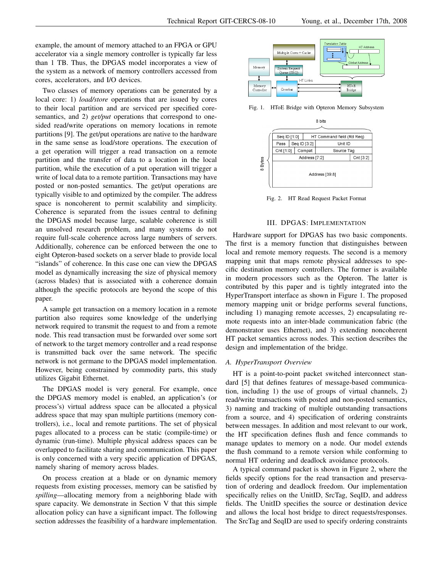example, the amount of memory attached to an FPGA or GPU accelerator via a single memory controller is typically far less than 1 TB. Thus, the DPGAS model incorporates a view of the system as a network of memory controllers accessed from cores, accelerators, and I/O devices.

Two classes of memory operations can be generated by a local core: 1) *load/store* operations that are issued by cores to their local partition and are serviced per specified coresemantics, and 2) *get/put* operations that correspond to onesided read/write operations on memory locations in remote partitions [9]. The get/put operations are native to the hardware in the same sense as load/store operations. The execution of a get operation will trigger a read transaction on a remote partition and the transfer of data to a location in the local partition, while the execution of a put operation will trigger a write of local data to a remote partition. Transactions may have posted or non-posted semantics. The get/put operations are typically visible to and optimized by the compiler. The address space is noncoherent to permit scalability and simplicity. Coherence is separated from the issues central to defining the DPGAS model because large, scalable coherence is still an unsolved research problem, and many systems do not require full-scale coherence across large numbers of servers. Additionally, coherence can be enforced between the one to eight Opteron-based sockets on a server blade to provide local "islands" of coherence. In this case one can view the DPGAS model as dynamically increasing the size of physical memory (across blades) that is associated with a coherence domain although the specific protocols are beyond the scope of this paper.

A sample get transaction on a memory location in a remote partition also requires some knowledge of the underlying network required to transmit the request to and from a remote node. This read transaction must be forwarded over some sort of network to the target memory controller and a read response is transmitted back over the same network. The specific network is not germane to the DPGAS model implementation. However, being constrained by commodity parts, this study utilizes Gigabit Ethernet.

The DPGAS model is very general. For example, once the DPGAS memory model is enabled, an application's (or process's) virtual address space can be allocated a physical address space that may span multiple partitions (memory controllers), i.e., local and remote partitions. The set of physical pages allocated to a process can be static (compile-time) or dynamic (run-time). Multiple physical address spaces can be overlapped to facilitate sharing and communication. This paper is only concerned with a very specific application of DPGAS, namely sharing of memory across blades.

On process creation at a blade or on dynamic memory requests from existing processes, memory can be satisfied by *spilling*—allocating memory from a neighboring blade with spare capacity. We demonstrate in Section V that this simple allocation policy can have a significant impact. The following section addresses the feasibility of a hardware implementation.



Fig. 1. HToE Bridge with Opteron Memory Subsystem



Fig. 2. HT Read Request Packet Format

## III. DPGAS: IMPLEMENTATION

Hardware support for DPGAS has two basic components. The first is a memory function that distinguishes between local and remote memory requests. The second is a memory mapping unit that maps remote physical addresses to specific destination memory controllers. The former is available in modern processors such as the Opteron. The latter is contributed by this paper and is tightly integrated into the HyperTransport interface as shown in Figure 1. The proposed memory mapping unit or bridge performs several functions, including 1) managing remote accesses, 2) encapsulating remote requests into an inter-blade communication fabric (the demonstrator uses Ethernet), and 3) extending noncoherent HT packet semantics across nodes. This section describes the design and implementation of the bridge.

### *A. HyperTransport Overview*

HT is a point-to-point packet switched interconnect standard [5] that defines features of message-based communication, including 1) the use of groups of virtual channels, 2) read/write transactions with posted and non-posted semantics, 3) naming and tracking of multiple outstanding transactions from a source, and 4) specification of ordering constraints between messages. In addition and most relevant to our work, the HT specification defines flush and fence commands to manage updates to memory on a node. Our model extends the flush command to a remote version while conforming to normal HT ordering and deadlock avoidance protocols.

A typical command packet is shown in Figure 2, where the fields specify options for the read transaction and preservation of ordering and deadlock freedom. Our implementation specifically relies on the UnitID, SrcTag, SeqID, and address fields. The UnitID specifies the source or destination device and allows the local host bridge to direct requests/responses. The SrcTag and SeqID are used to specify ordering constraints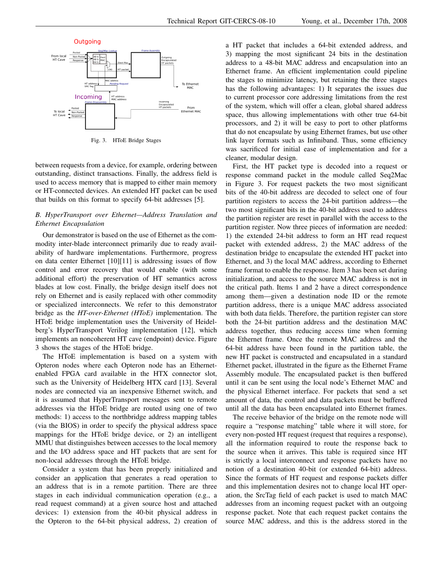

Fig. 3. HToE Bridge Stages

between requests from a device, for example, ordering between outstanding, distinct transactions. Finally, the address field is used to access memory that is mapped to either main memory or HT-connected devices. An extended HT packet can be used that builds on this format to specify 64-bit addresses [5].

# *B. HyperTransport over Ethernet—Address Translation and Ethernet Encapsulation*

Our demonstrator is based on the use of Ethernet as the commodity inter-blade interconnect primarily due to ready availability of hardware implementations. Furthermore, progress on data center Ethernet [10][11] is addressing issues of flow control and error recovery that would enable (with some additional effort) the preservation of HT semantics across blades at low cost. Finally, the bridge design itself does not rely on Ethernet and is easily replaced with other commodity or specialized interconnects. We refer to this demonstrator bridge as the *HT-over-Ethernet (HToE)* implementation. The HToE bridge implementation uses the University of Heidelberg's HyperTransport Verilog implementation [12], which implements an noncoherent HT cave (endpoint) device. Figure 3 shows the stages of the HToE bridge.

The HToE implementation is based on a system with Opteron nodes where each Opteron node has an Ethernetenabled FPGA card available in the HTX connector slot, such as the University of Heidelberg HTX card [13]. Several nodes are connected via an inexpensive Ethernet switch, and it is assumed that HyperTransport messages sent to remote addresses via the HToE bridge are routed using one of two methods: 1) access to the northbridge address mapping tables (via the BIOS) in order to specify the physical address space mappings for the HToE bridge device, or 2) an intelligent MMU that distinguishes between accesses to the local memory and the I/O address space and HT packets that are sent for non-local addresses through the HToE bridge.

Consider a system that has been properly initialized and consider an application that generates a read operation to an address that is in a remote partition. There are three stages in each individual communication operation (e.g., a read request command) at a given source host and attached devices: 1) extension from the 40-bit physical address in the Opteron to the 64-bit physical address, 2) creation of a HT packet that includes a 64-bit extended address, and 3) mapping the most significant 24 bits in the destination address to a 48-bit MAC address and encapsulation into an Ethernet frame. An efficient implementation could pipeline the stages to minimize latency, but retaining the three stages has the following advantages: 1) It separates the issues due to current processor core addressing limitations from the rest of the system, which will offer a clean, global shared address space, thus allowing implementations with other true 64-bit processors, and 2) it will be easy to port to other platforms that do not encapsulate by using Ethernet frames, but use other link layer formats such as Infiniband. Thus, some efficiency was sacrificed for initial ease of implementation and for a cleaner, modular design.

First, the HT packet type is decoded into a request or response command packet in the module called Seq2Mac in Figure 3. For request packets the two most significant bits of the 40-bit address are decoded to select one of four partition registers to access the 24-bit partition address—the two most significant bits in the 40-bit address used to address the partition register are reset in parallel with the access to the partition register. Now three pieces of information are needed: 1) the extended 24-bit address to form an HT read request packet with extended address, 2) the MAC address of the destination bridge to encapsulate the extended HT packet into Ethernet, and 3) the local MAC address, according to Ethernet frame format to enable the response. Item 3 has been set during initialization, and access to the source MAC address is not in the critical path. Items 1 and 2 have a direct correspondence among them—given a destination node ID or the remote partition address, there is a unique MAC address associated with both data fields. Therefore, the partition register can store both the 24-bit partition address and the destination MAC address together, thus reducing access time when forming the Ethernet frame. Once the remote MAC address and the 64-bit address have been found in the partition table, the new HT packet is constructed and encapsulated in a standard Ethernet packet, illustrated in the figure as the Ethernet Frame Assembly module. The encapsulated packet is then buffered until it can be sent using the local node's Ethernet MAC and the physical Ethernet interface. For packets that send a set amount of data, the control and data packets must be buffered until all the data has been encapsulated into Ethernet frames.

The receive behavior of the bridge on the remote node will require a "response matching" table where it will store, for every non-posted HT request (request that requires a response), all the information required to route the response back to the source when it arrives. This table is required since HT is strictly a local interconnect and response packets have no notion of a destination 40-bit (or extended 64-bit) address. Since the formats of HT request and response packets differ and this implementation desires not to change local HT operation, the SrcTag field of each packet is used to match MAC addresses from an incoming request packet with an outgoing response packet. Note that each request packet contains the source MAC address, and this is the address stored in the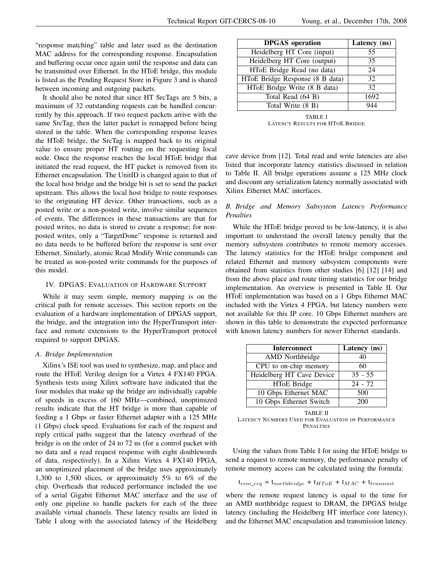"response matching" table and later used as the destination MAC address for the corresponding response. Encapsulation and buffering occur once again until the response and data can be transmitted over Ethernet. In the HToE bridge, this module is listed as the Pending Request Store in Figure 3 and is shared between incoming and outgoing packets.

It should also be noted that since HT SrcTags are 5 bits, a maximum of 32 outstanding requests can be handled concurrently by this approach. If two request packets arrive with the same SrcTag, then the latter packet is remapped before being stored in the table. When the corresponding response leaves the HToE bridge, the SrcTag is mapped back to its original value to ensure proper HT routing on the requesting local node. Once the response reaches the local HToE bridge that initiated the read request, the HT packet is removed from its Ethernet encapsulation. The UnitID is changed again to that of the local host bridge and the bridge bit is set to send the packet upstream. This allows the local host bridge to route responses to the originating HT device. Other transactions, such as a posted write or a non-posted write, involve similar sequences of events. The differences in these transactions are that for posted writes, no data is stored to create a response; for nonposted writes, only a "TargetDone" response is returned and no data needs to be buffered before the response is sent over Ethernet. Similarly, atomic Read Modify Write commands can be treated as non-posted write commands for the purposes of this model.

# IV. DPGAS: EVALUATION OF HARDWARE SUPPORT

While it may seem simple, memory mapping is on the critical path for remote accesses. This section reports on the evaluation of a hardware implementation of DPGAS support, the bridge, and the integration into the HyperTransport interface and remote extensions to the HyperTransport protocol required to support DPGAS.

### *A. Bridge Implementation*

Xilinx's ISE tool was used to synthesize, map, and place and route the HToE Verilog design for a Virtex 4 FX140 FPGA. Synthesis tests using Xilinx software have indicated that the four modules that make up the bridge are individually capable of speeds in excess of 160 MHz—combined, unoptimized results indicate that the HT bridge is more than capable of feeding a 1 Gbps or faster Ethernet adapter with a 125 MHz (1 Gbps) clock speed. Evaluations for each of the request and reply critical paths suggest that the latency overhead of the bridge is on the order of 24 to 72 ns (for a control packet with no data and a read request response with eight doublewords of data, respectively). In a Xilinx Virtex 4 FX140 FPGA, an unoptimized placement of the bridge uses approximately 1,300 to 1,500 slices, or approximately 5% to 6% of the chip. Overheads that reduced performance included the use of a serial Gigabit Ethernet MAC interface and the use of only one pipeline to handle packets for each of the three available virtual channels. These latency results are listed in Table I along with the associated latency of the Heidelberg

| <b>DPGAS</b> operation          | Latency (ns) |
|---------------------------------|--------------|
| Heidelberg HT Core (input)      | 55           |
| Heidelberg HT Core (output)     | 35           |
| HToE Bridge Read (no data)      | 24           |
| HToE Bridge Response (8 B data) | 32           |
| HToE Bridge Write (8 B data)    | 32           |
| Total Read (64 B)               | 1692         |
| Total Write (8 B)               |              |

TABLE I LATENCY RESULTS FOR HTOE BRIDGE

cave device from [12]. Total read and write latencies are also listed that incorporate latency statistics discussed in relation to Table II. All bridge operations assume a 125 MHz clock and discount any serialization latency normally associated with Xilinx Ethernet MAC interfaces.

# *B. Bridge and Memory Subsystem Latency Performance Penalties*

While the HToE bridge proved to be low-latency, it is also important to understand the overall latency penalty that the memory subsystem contributes to remote memory accesses. The latency statistics for the HToE bridge component and related Ethernet and memory subsystem components were obtained from statistics from other studies [6] [12] [14] and from the above place and route timing statistics for our bridge implementation. An overview is presented in Table II. Our HToE implementation was based on a 1 Gbps Ethernet MAC included with the Virtex 4 FPGA, but latency numbers were not available for this IP core. 10 Gbps Ethernet numbers are shown in this table to demonstrate the expected performance with known latency numbers for newer Ethernet standards.

| <b>Interconnect</b>       | Latency (ns) |
|---------------------------|--------------|
| <b>AMD</b> Northbridge    | 40           |
| CPU to on-chip memory     | 60           |
| Heidelberg HT Cave Device | $35 - 55$    |
| HToE Bridge               | $24 - 72$    |
| 10 Gbps Ethernet MAC      | 500          |
| 10 Gbps Ethernet Switch   | 200          |

TABLE II LATENCY NUMBERS USED FOR EVALUATION OF PERFORMANCE PENALTIES

Using the values from Table I for using the HToE bridge to send a request to remote memory, the performance penalty of remote memory access can be calculated using the formula:

$$
t_{rem\_req} = t_{northbridge} + t_{HToE} + t_{MAC} + t_{transmit}
$$

where the remote request latency is equal to the time for an AMD northbridge request to DRAM, the DPGAS bridge latency (including the Heidelberg HT interface core latency), and the Ethernet MAC encapsulation and transmission latency.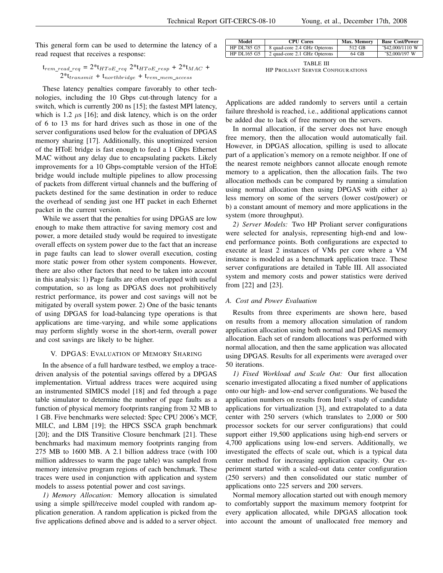$\overline{a}$ 

This general form can be used to determine the latency of a read request that receives a response:

$$
t_{rem\_read\_req} = 2 * t_{HToE\_req} 2 * t_{HToE\_resp} + 2 * t_{MAC} + 2 * t_{transmit} + t_{northbridge} + t_{rem\_mem\_access}
$$

These latency penalties compare favorably to other technologies, including the 10 Gbps cut-through latency for a switch, which is currently 200 ns [15]; the fastest MPI latency, which is 1.2  $\mu$ s [16]; and disk latency, which is on the order of 6 to 13 ms for hard drives such as those in one of the server configurations used below for the evaluation of DPGAS memory sharing [17]. Additionally, this unoptimized version of the HToE bridge is fast enough to feed a 1 Gbps Ethernet MAC without any delay due to encapsulating packets. Likely improvements for a 10 Gbps-comptable version of the HToE bridge would include multiple pipelines to allow processing of packets from different virtual channels and the buffering of packets destined for the same destination in order to reduce the overhead of sending just one HT packet in each Ethernet packet in the current version.

While we assert that the penalties for using DPGAS are low enough to make them attractive for saving memory cost and power, a more detailed study would be required to investigate overall effects on system power due to the fact that an increase in page faults can lead to slower overall execution, costing more static power from other system components. However, there are also other factors that need to be taken into account in this analysis: 1) Page faults are often overlapped with useful computation, so as long as DPGAS does not prohibitively restrict performance, its power and cost savings will not be mitigated by overall system power. 2) One of the basic tenants of using DPGAS for load-balancing type operations is that applications are time-varying, and while some applications may perform slightly worse in the short-term, overall power and cost savings are likely to be higher.

# V. DPGAS: EVALUATION OF MEMORY SHARING

In the absence of a full hardware testbed, we employ a tracedriven analysis of the potential savings offered by a DPGAS implementation. Virtual address traces were acquired using an instrumented SIMICS model [18] and fed through a page table simulator to determine the number of page faults as a function of physical memory footprints ranging from 32 MB to 1 GB. Five benchmarks were selected: Spec CPU 2006's MCF, MILC, and LBM [19]; the HPCS SSCA graph benchmark [20]; and the DIS Transitive Closure benchmark [21]. These benchmarks had maximum memory footprints ranging from 275 MB to 1600 MB. A 2.1 billion address trace (with 100 million addresses to warm the page table) was sampled from memory intensive program regions of each benchmark. These traces were used in conjunction with application and system models to assess potential power and cost savings.

*1) Memory Allocation:* Memory allocation is simulated using a simple spill/receive model coupled with random application generation. A random application is picked from the five applications defined above and is added to a server object.

| Model              | <b>CPU</b> Cores             | Max. Memory | <b>Base Cost/Power</b>    |
|--------------------|------------------------------|-------------|---------------------------|
| <b>HP DL785 G5</b> | 8 quad-core 2.4 GHz Opterons | 512 GB      | $\degree$ \$42,000/1110 W |
| HP DL165 G5        | 2 quad-core 2.1 GHz Opterons | 64 GB       | $\degree$ \$2,000/197 W   |
|                    |                              |             |                           |

TABLE III HP PROLIANT SERVER CONFIGURATIONS

Applications are added randomly to servers until a certain failure threshold is reached, i.e., additional applications cannot be added due to lack of free memory on the servers.

In normal allocation, if the server does not have enough free memory, then the allocation would automatically fail. However, in DPGAS allocation, spilling is used to allocate part of a application's memory on a remote neighbor. If one of the nearest remote neighbors cannot allocate enough remote memory to a application, then the allocation fails. The two allocation methods can be compared by running a simulation using normal allocation then using DPGAS with either a) less memory on some of the servers (lower cost/power) or b) a constant amount of memory and more applications in the system (more throughput).

*2) Server Models:* Two HP Proliant server configurations were selected for analysis, representing high-end and lowend performance points. Both configurations are expected to execute at least 2 instances of VMs per core where a VM instance is modeled as a benchmark application trace. These server configurations are detailed in Table III. All associated system and memory costs and power statistics were derived from [22] and [23].

### *A. Cost and Power Evaluation*

Results from three experiments are shown here, based on results from a memory allocation simulation of random application allocation using both normal and DPGAS memory allocation. Each set of random allocations was performed with normal allocation, and then the same application was allocated using DPGAS. Results for all experiments were averaged over 50 iterations.

*1) Fixed Workload and Scale Out:* Our first allocation scenario investigated allocating a fixed number of applications onto our high- and low-end server configurations. We based the application numbers on results from Intel's study of candidate applications for virtualization [3], and extrapolated to a data center with 250 servers (which translates to 2,000 or 500 processor sockets for our server configurations) that could support either 19,500 applications using high-end servers or 4,700 applications using low-end servers. Additionally, we investigated the effects of scale out, which is a typical data center method for increasing application capacity. Our experiment started with a scaled-out data center configuration (250 servers) and then consolidated our static number of applications onto 225 servers and 200 servers.

Normal memory allocation started out with enough memory to comfortably support the maximum memory footprint for every application allocated, while DPGAS allocation took into account the amount of unallocated free memory and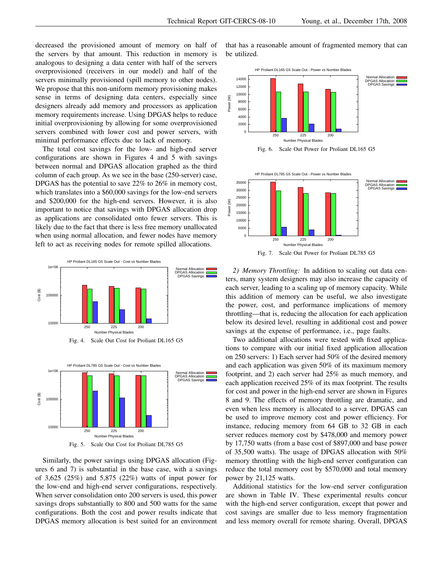decreased the provisioned amount of memory on half of the servers by that amount. This reduction in memory is analogous to designing a data center with half of the servers overprovisioned (receivers in our model) and half of the servers minimally provisioned (spill memory to other nodes). We propose that this non-uniform memory provisioning makes sense in terms of designing data centers, especially since designers already add memory and processors as application memory requirements increase. Using DPGAS helps to reduce initial overprovisioning by allowing for some overprovisioned servers combined with lower cost and power servers, with minimal performance effects due to lack of memory.

The total cost savings for the low- and high-end server configurations are shown in Figures 4 and 5 with savings between normal and DPGAS allocation graphed as the third column of each group. As we see in the base (250-server) case, DPGAS has the potential to save 22% to 26% in memory cost, which translates into a \$60,000 savings for the low-end servers and \$200,000 for the high-end servers. However, it is also important to notice that savings with DPGAS allocation drop as applications are consolidated onto fewer servers. This is likely due to the fact that there is less free memory unallocated when using normal allocation, and fewer nodes have memory left to act as receiving nodes for remote spilled allocations.





Similarly, the power savings using DPGAS allocation (Figures 6 and 7) is substantial in the base case, with a savings of 3,625 (25%) and 5,875 (22%) watts of input power for the low-end and high-end server configurations, respectively. When server consolidation onto 200 servers is used, this power savings drops substantially to 800 and 500 watts for the same configurations. Both the cost and power results indicate that DPGAS memory allocation is best suited for an environment that has a reasonable amount of fragmented memory that can be utilized.







*2) Memory Throttling:* In addition to scaling out data centers, many system designers may also increase the capacity of each server, leading to a scaling up of memory capacity. While this addition of memory can be useful, we also investigate the power, cost, and performance implications of memory throttling—that is, reducing the allocation for each application below its desired level, resulting in additional cost and power savings at the expense of performance, i.e., page faults.

Two additional allocations were tested with fixed applications to compare with our initial fixed application allocation on 250 servers: 1) Each server had 50% of the desired memory and each application was given 50% of its maximum memory footprint, and 2) each server had 25% as much memory, and each application received 25% of its max footprint. The results for cost and power in the high-end server are shown in Figures 8 and 9. The effects of memory throttling are dramatic, and even when less memory is allocated to a server, DPGAS can be used to improve memory cost and power efficiency. For instance, reducing memory from 64 GB to 32 GB in each server reduces memory cost by \$478,000 and memory power by 17,750 watts (from a base cost of \$897,000 and base power of 35,500 watts). The usage of DPGAS allocation with 50% memory throttling with the high-end server configuration can reduce the total memory cost by \$570,000 and total memory power by 21,125 watts.

Additional statistics for the low-end server configuration are shown in Table IV. These experimental results concur with the high-end server configuration, except that power and cost savings are smaller due to less memory fragmentation and less memory overall for remote sharing. Overall, DPGAS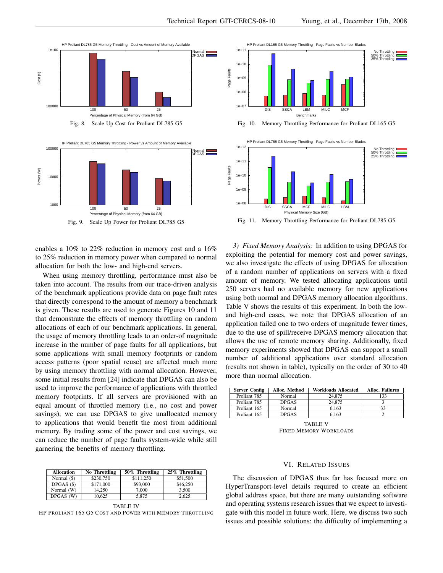



enables a 10% to 22% reduction in memory cost and a 16% to 25% reduction in memory power when compared to normal allocation for both the low- and high-end servers.

When using memory throttling, performance must also be taken into account. The results from our trace-driven analysis of the benchmark applications provide data on page fault rates that directly correspond to the amount of memory a benchmark is given. These results are used to generate Figures 10 and 11 that demonstrate the effects of memory throttling on random allocations of each of our benchmark applications. In general, the usage of memory throttling leads to an order-of magnitude increase in the number of page faults for all applications, but some applications with small memory footprints or random access patterns (poor spatial reuse) are affected much more by using memory throttling with normal allocation. However, some initial results from [24] indicate that DPGAS can also be used to improve the performance of applications with throttled memory footprints. If all servers are provisioned with an equal amount of throttled memory (i.e., no cost and power savings), we can use DPGAS to give unallocated memory to applications that would benefit the most from additional memory. By trading some of the power and cost savings, we can reduce the number of page faults system-wide while still garnering the benefits of memory throttling. He cases and the tender of page find the specifical single properties of the specifical single properties of the specifical single properties of the specifical single properties of the specifical single properties of the

| <b>Allocation</b> | No Throttling | 50% Throttling | 25% Throttling |
|-------------------|---------------|----------------|----------------|
| Normal (\$)       | \$230,750     | \$111,250      | \$51,500       |
| $DPGAS($ \$)      | \$171,000     | \$93,000       | \$46,250       |
| Normal (W)        | 14.250        | 7.000          | 3.500          |
| DPGAS (W)         | 10.625        | 5.875          | 2.625          |

TABLE IV THE PROLIANT 165 G5 COST AND POWER WITH MEMORY THROTTLING



Fig. 10. Memory Throttling Performance for Proliant DL165 G5



*3) Fixed Memory Analysis:* In addition to using DPGAS for exploiting the potential for memory cost and power savings, we also investigate the effects of using DPGAS for allocation of a random number of applications on servers with a fixed amount of memory. We tested allocating applications until 250 servers had no available memory for new applications using both normal and DPGAS memory allocation algorithms. Table V shows the results of this experiment. In both the lowand high-end cases, we note that DPGAS allocation of an application failed one to two orders of magnitude fewer times, due to the use of spill/receive DPGAS memory allocation that allows the use of remote memory sharing. Additionally, fixed memory experiments showed that DPGAS can support a small number of additional applications over standard allocation (results not shown in table), typically on the order of 30 to 40 more than normal allocation.

| <b>Server Config</b> | Alloc. Method | <b>Workloads Allocated</b> | <b>Alloc. Failures</b> |
|----------------------|---------------|----------------------------|------------------------|
| Proliant 785         | Normal        | 24,875                     | 133                    |
| Proliant 785         | <b>DPGAS</b>  | 24,875                     |                        |
| Proliant 165         | Normal        | 6.163                      | 33                     |
| Proliant 165         | <b>DPGAS</b>  | 6.163                      |                        |

TABLE V FIXED MEMORY WORKLOADS

# VI. RELATED ISSUES

The discussion of DPGAS thus far has focused more on HyperTransport-level details required to create an efficient global address space, but there are many outstanding software and operating systems research issues that we expect to investigate with this model in future work. Here, we discuss two such issues and possible solutions: the difficulty of implementing a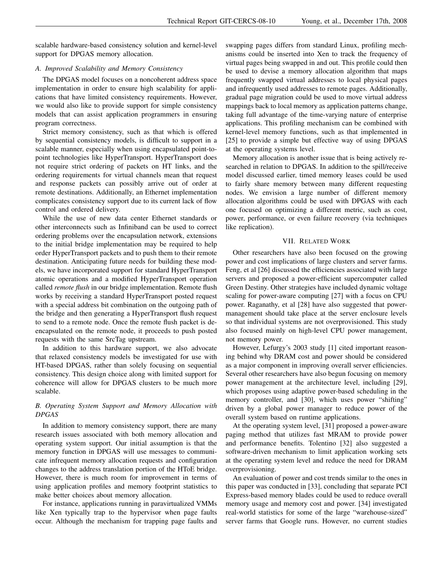scalable hardware-based consistency solution and kernel-level support for DPGAS memory allocation.

# *A. Improved Scalability and Memory Consistency*

The DPGAS model focuses on a noncoherent address space implementation in order to ensure high scalability for applications that have limited consistency requirements. However, we would also like to provide support for simple consistency models that can assist application programmers in ensuring program correctness.

Strict memory consistency, such as that which is offered by sequential consistency models, is difficult to support in a scalable manner, especially when using encapsulated point-topoint technologies like HyperTransport. HyperTransport does not require strict ordering of packets on HT links, and the ordering requirements for virtual channels mean that request and response packets can possibly arrive out of order at remote destinations. Additionally, an Ethernet implementation complicates consistency support due to its current lack of flow control and ordered delivery.

While the use of new data center Ethernet standards or other interconnects such as Infiniband can be used to correct ordering problems over the encapsulation network, extensions to the initial bridge implementation may be required to help order HyperTransport packets and to push them to their remote destination. Anticipating future needs for building these models, we have incorporated support for standard HyperTransport atomic operations and a modified HyperTransport operation called *remote flush* in our bridge implementation. Remote flush works by receiving a standard HyperTransport posted request with a special address bit combination on the outgoing path of the bridge and then generating a HyperTransport flush request to send to a remote node. Once the remote flush packet is deencapsulated on the remote node, it proceeds to push posted requests with the same SrcTag upstream.

In addition to this hardware support, we also advocate that relaxed consistency models be investigated for use with HT-based DPGAS, rather than solely focusing on sequential consistency. This design choice along with limited support for coherence will allow for DPGAS clusters to be much more scalable.

# *B. Operating System Support and Memory Allocation with DPGAS*

In addition to memory consistency support, there are many research issues associated with both memory allocation and operating system support. Our initial assumption is that the memory function in DPGAS will use messages to communicate infrequent memory allocation requests and configuration changes to the address translation portion of the HToE bridge. However, there is much room for improvement in terms of using application profiles and memory footprint statistics to make better choices about memory allocation.

For instance, applications running in paravirtualized VMMs like Xen typically trap to the hypervisor when page faults occur. Although the mechanism for trapping page faults and swapping pages differs from standard Linux, profiling mechanisms could be inserted into Xen to track the frequency of virtual pages being swapped in and out. This profile could then be used to devise a memory allocation algorithm that maps frequently swapped virtual addresses to local physical pages and infrequently used addresses to remote pages. Additionally, gradual page migration could be used to move virtual address mappings back to local memory as application patterns change, taking full advantage of the time-varying nature of enterprise applications. This profiling mechanism can be combined with kernel-level memory functions, such as that implemented in [25] to provide a simple but effective way of using DPGAS at the operating systems level.

Memory allocation is another issue that is being actively researched in relation to DPGAS. In addition to the spill/receive model discussed earlier, timed memory leases could be used to fairly share memory between many different requesting nodes. We envision a large number of different memory allocation algorithms could be used with DPGAS with each one focused on optimizing a different metric, such as cost, power, performance, or even failure recovery (via techniques like replication).

## VII. RELATED WORK

Other researchers have also been focused on the growing power and cost implications of large clusters and server farms. Feng, et al [26] discussed the efficiencies associated with large servers and proposed a power-efficient supercomputer called Green Destiny. Other strategies have included dynamic voltage scaling for power-aware computing [27] with a focus on CPU power. Raganathy, et al [28] have also suggested that powermanagement should take place at the server enclosure levels so that individual systems are not overprovisioned. This study also focused mainly on high-level CPU power management, not memory power.

However, Lefurgy's 2003 study [1] cited important reasoning behind why DRAM cost and power should be considered as a major component in improving overall server efficiencies. Several other researchers have also begun focusing on memory power management at the architecture level, including [29], which proposes using adaptive power-based scheduling in the memory controller, and [30], which uses power "shifting" driven by a global power manager to reduce power of the overall system based on runtime applications.

At the operating system level, [31] proposed a power-aware paging method that utilizes fast MRAM to provide power and performance benefits. Tolentino [32] also suggested a software-driven mechanism to limit application working sets at the operating system level and reduce the need for DRAM overprovisioning.

An evaluation of power and cost trends similar to the ones in this paper was conducted in [33], concluding that separate PCI Express-based memory blades could be used to reduce overall memory usage and memory cost and power. [34] investigated real-world statistics for some of the large "warehouse-sized" server farms that Google runs. However, no current studies